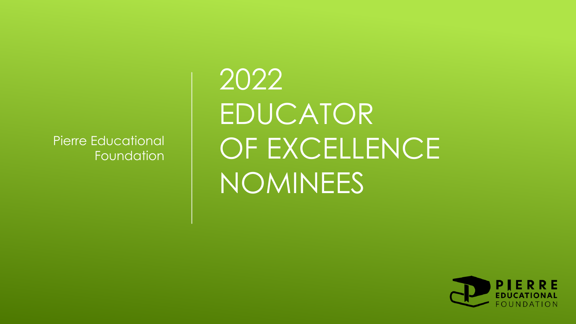Pierre Educational Foundation 2022 EDUCATOR OF EXCELLENCE NOMINEES

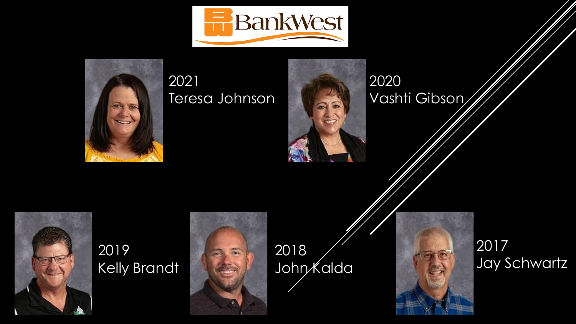



#### 2021 Teresa Johnson

2020 Vashti Gibson



#### 2019 Kelly Brandt



2018 John Kalda

**ARTICAL PROPERTY** 



#### 2017 Jay Schwartz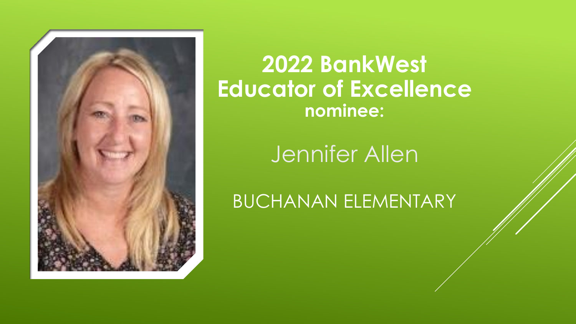

Jennifer Allen

BUCHANAN ELEMENTARY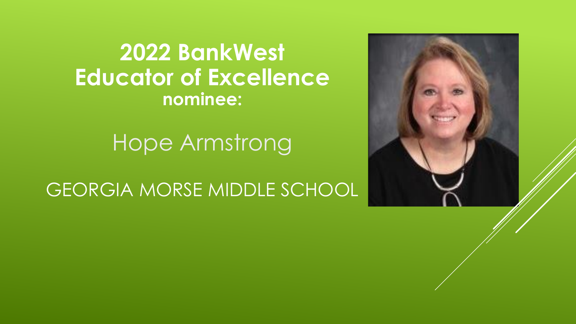

Hope Armstrong

GEORGIA MORSE MIDDLE SCHOOL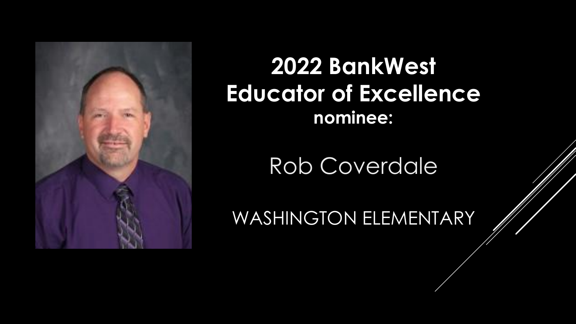

Rob Coverdale

WASHINGTON ELEMENTARY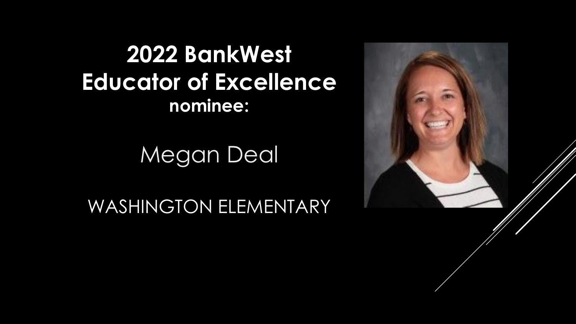

Megan Deal

WASHINGTON ELEMENTARY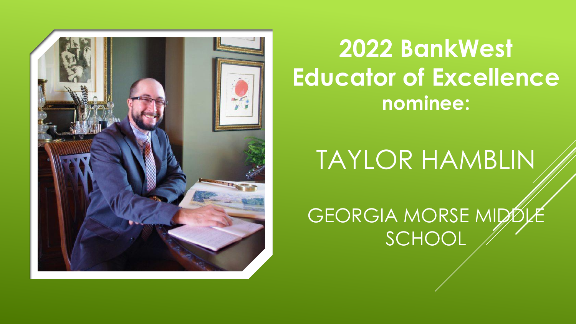

TAYLOR HAMBLIN

GEORGIA MORSE MIDE SCHOOL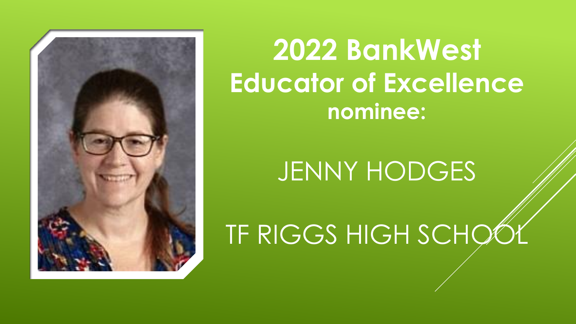

# JENNY HODGES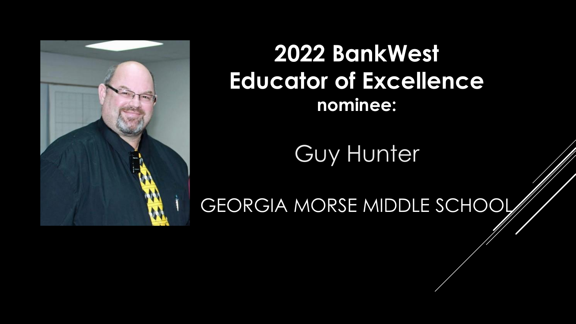

Guy Hunter

GEORGIA MORSE MIDDLE SCHOOL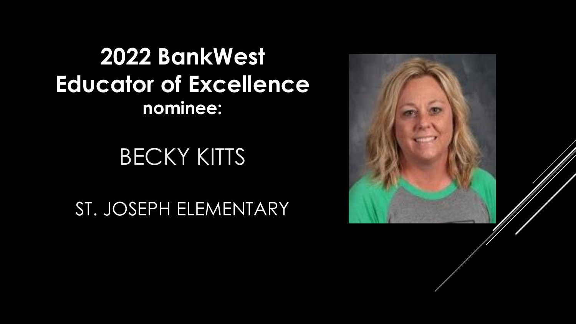## **BECKY KITTS**

ST. JOSEPH ELEMENTARY

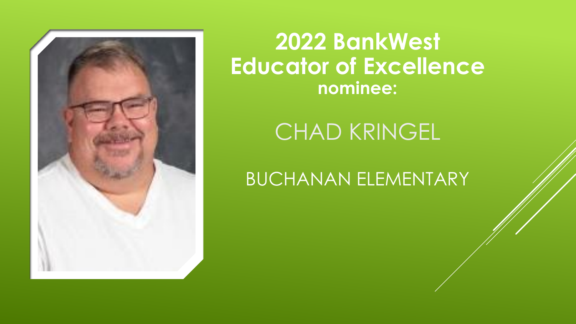

### CHAD KRINGEL

BUCHANAN ELEMENTARY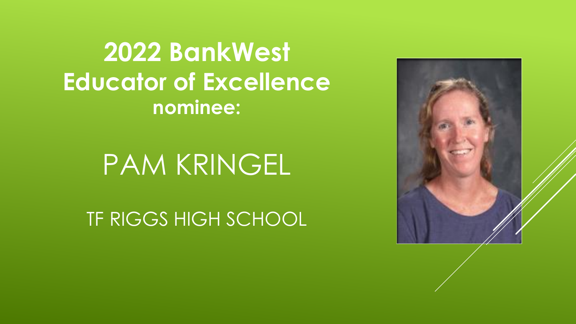

# PAM KRINGEL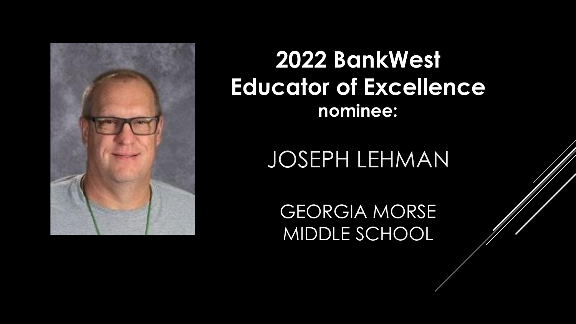

## JOSEPH LEHMAN

GEORGIA MORSE MIDDLE SCHOOL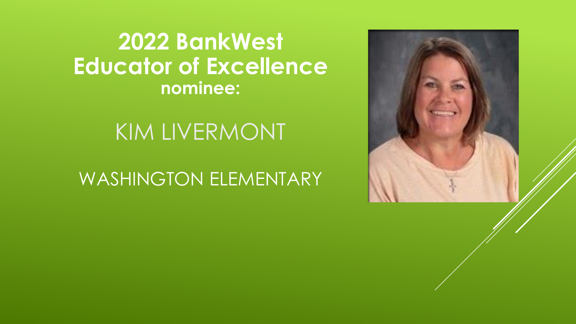#### KIM LIVERMONT

#### WASHINGTON ELEMENTARY

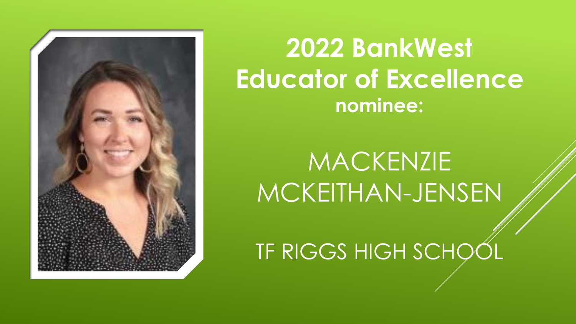

# MACKENZIE MCKEITHAN-JENSEN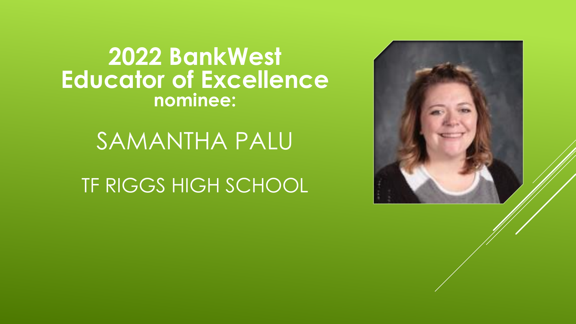

SAMANTHA PALU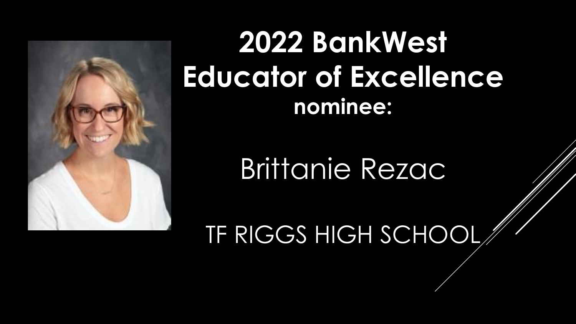

# Brittanie Rezac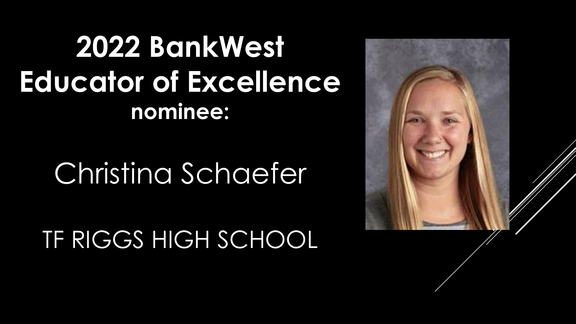# Christina Schaefer

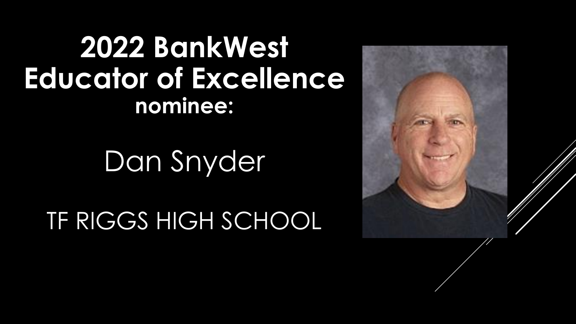Dan Snyder

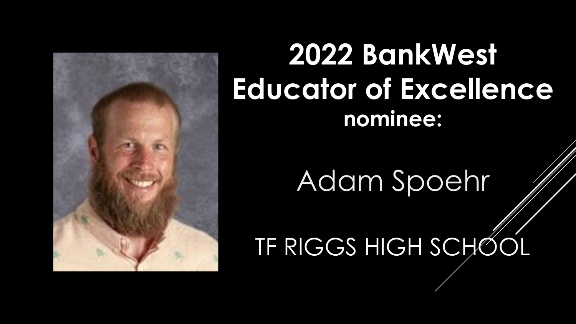

# Adam Spoehr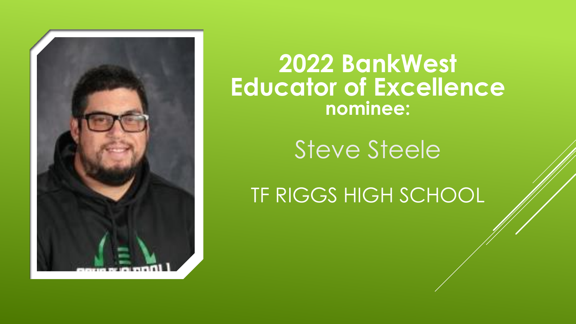

Steve Steele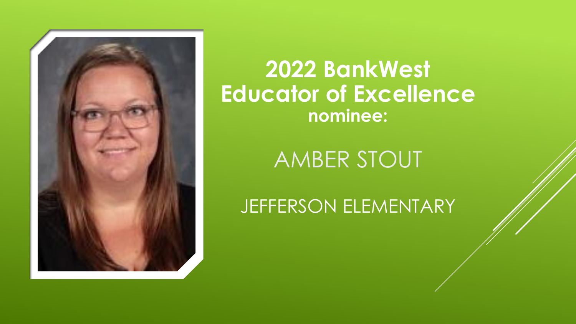

AMBER STOUT

JEFFERSON ELEMENTARY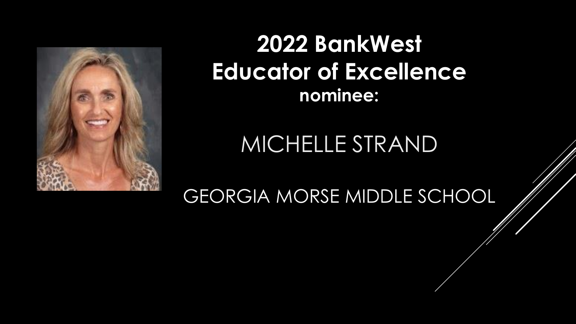

## MICHELLE STRAND

GEORGIA MORSE MIDDLE SCHOOL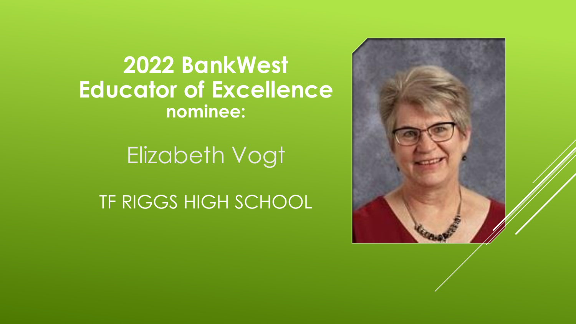

# Elizabeth Vogt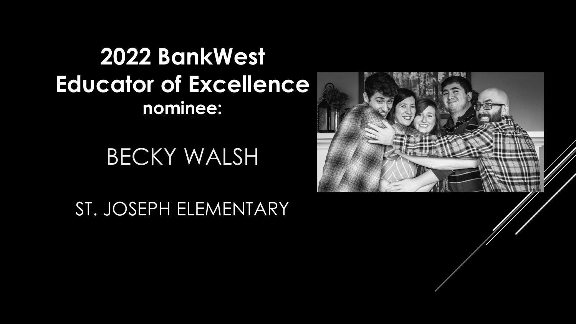BECKY WALSH

ST. JOSEPH ELEMENTARY

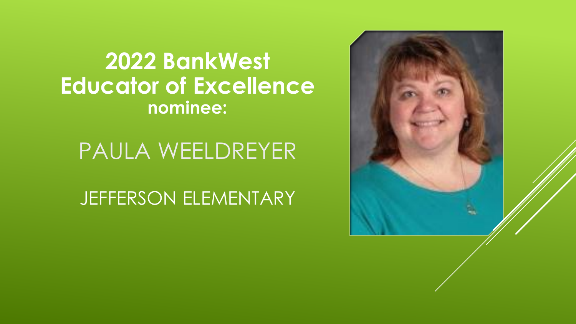

PAULA WEELDREYER

JEFFERSON ELEMENTARY